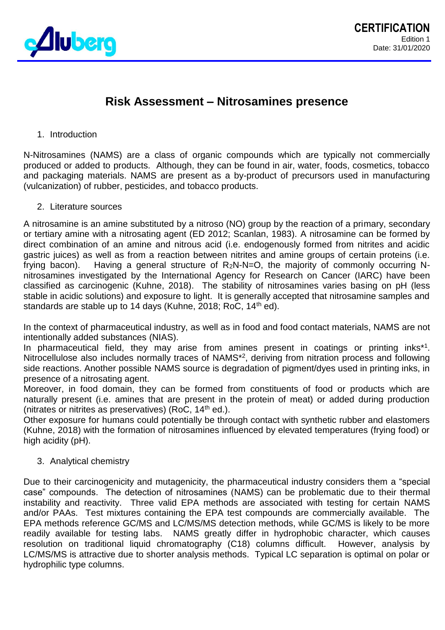

## **Risk Assessment – Nitrosamines presence**

## 1. Introduction

N-Nitrosamines (NAMS) are a class of organic compounds which are typically not commercially produced or added to products. Although, they can be found in air, water, foods, cosmetics, tobacco and packaging materials. NAMS are present as a by-product of precursors used in manufacturing (vulcanization) of rubber, pesticides, and tobacco products.

## 2. Literature sources

A nitrosamine is an amine substituted by a nitroso (NO) group by the reaction of a primary, secondary or tertiary amine with a nitrosating agent (ED 2012; Scanlan, 1983). A nitrosamine can be formed by direct combination of an amine and nitrous acid (i.e. endogenously formed from nitrites and acidic gastric juices) as well as from a reaction between nitrites and amine groups of certain proteins (i.e. frying bacon). Having a general structure of  $R_2N-N=O$ , the majority of commonly occurring Nnitrosamines investigated by the International Agency for Research on Cancer (IARC) have been classified as carcinogenic (Kuhne, 2018). The stability of nitrosamines varies basing on pH (less stable in acidic solutions) and exposure to light. It is generally accepted that nitrosamine samples and standards are stable up to 14 days (Kuhne, 2018; RoC, 14<sup>th</sup> ed).

In the context of pharmaceutical industry, as well as in food and food contact materials, NAMS are not intentionally added substances (NIAS).

In pharmaceutical field, they may arise from amines present in coatings or printing inks<sup>\*1</sup>. Nitrocellulose also includes normally traces of NAMS<sup>\*2</sup>, deriving from nitration process and following side reactions. Another possible NAMS source is degradation of pigment/dyes used in printing inks, in presence of a nitrosating agent.

Moreover, in food domain, they can be formed from constituents of food or products which are naturally present (i.e. amines that are present in the protein of meat) or added during production (nitrates or nitrites as preservatives) (RoC,  $14<sup>th</sup>$  ed.).

Other exposure for humans could potentially be through contact with synthetic rubber and elastomers (Kuhne, 2018) with the formation of nitrosamines influenced by elevated temperatures (frying food) or high acidity (pH).

3. Analytical chemistry

Due to their carcinogenicity and mutagenicity, the pharmaceutical industry considers them a "special case" compounds. The detection of nitrosamines (NAMS) can be problematic due to their thermal instability and reactivity. Three valid EPA methods are associated with testing for certain NAMS and/or PAAs. Test mixtures containing the EPA test compounds are commercially available. The EPA methods reference GC/MS and LC/MS/MS detection methods, while GC/MS is likely to be more readily available for testing labs. NAMS greatly differ in hydrophobic character, which causes resolution on traditional liquid chromatography (C18) columns difficult. However, analysis by LC/MS/MS is attractive due to shorter analysis methods. Typical LC separation is optimal on polar or hydrophilic type columns.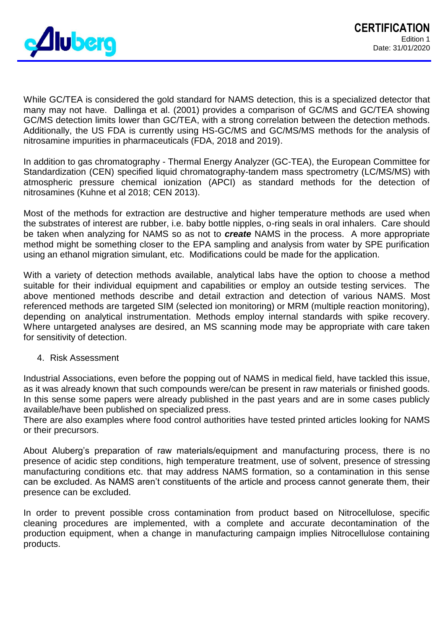

While GC/TEA is considered the gold standard for NAMS detection, this is a specialized detector that many may not have. Dallinga et al. (2001) provides a comparison of GC/MS and GC/TEA showing GC/MS detection limits lower than GC/TEA, with a strong correlation between the detection methods. Additionally, the US FDA is currently using HS-GC/MS and GC/MS/MS methods for the analysis of nitrosamine impurities in pharmaceuticals (FDA, 2018 and 2019).

In addition to gas chromatography - Thermal Energy Analyzer (GC-TEA), the European Committee for Standardization (CEN) specified liquid chromatography-tandem mass spectrometry (LC/MS/MS) with atmospheric pressure chemical ionization (APCI) as standard methods for the detection of nitrosamines (Kuhne et al 2018; CEN 2013).

Most of the methods for extraction are destructive and higher temperature methods are used when the substrates of interest are rubber, i.e. baby bottle nipples, o-ring seals in oral inhalers. Care should be taken when analyzing for NAMS so as not to *create* NAMS in the process. A more appropriate method might be something closer to the EPA sampling and analysis from water by SPE purification using an ethanol migration simulant, etc. Modifications could be made for the application.

With a variety of detection methods available, analytical labs have the option to choose a method suitable for their individual equipment and capabilities or employ an outside testing services. The above mentioned methods describe and detail extraction and detection of various NAMS. Most referenced methods are targeted SIM (selected ion monitoring) or MRM (multiple reaction monitoring), depending on analytical instrumentation. Methods employ internal standards with spike recovery. Where untargeted analyses are desired, an MS scanning mode may be appropriate with care taken for sensitivity of detection.

## 4. Risk Assessment

Industrial Associations, even before the popping out of NAMS in medical field, have tackled this issue, as it was already known that such compounds were/can be present in raw materials or finished goods. In this sense some papers were already published in the past years and are in some cases publicly available/have been published on specialized press.

There are also examples where food control authorities have tested printed articles looking for NAMS or their precursors.

About Aluberg's preparation of raw materials/equipment and manufacturing process, there is no presence of acidic step conditions, high temperature treatment, use of solvent, presence of stressing manufacturing conditions etc. that may address NAMS formation, so a contamination in this sense can be excluded. As NAMS aren't constituents of the article and process cannot generate them, their presence can be excluded.

In order to prevent possible cross contamination from product based on Nitrocellulose, specific cleaning procedures are implemented, with a complete and accurate decontamination of the production equipment, when a change in manufacturing campaign implies Nitrocellulose containing products.